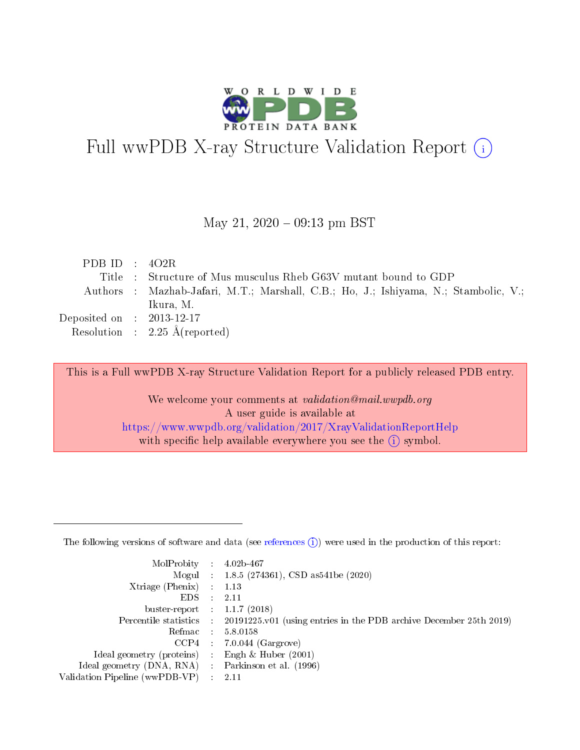

# Full wwPDB X-ray Structure Validation Report (i)

#### May 21,  $2020 - 09:13$  pm BST

| PDB ID : $402R$             |                                                                                     |
|-----------------------------|-------------------------------------------------------------------------------------|
|                             | Title : Structure of Mus musculus Rheb G63V mutant bound to GDP                     |
|                             | Authors : Mazhab-Jafari, M.T.; Marshall, C.B.; Ho, J.; Ishiyama, N.; Stambolic, V.; |
|                             | Ikura, M.                                                                           |
| Deposited on : $2013-12-17$ |                                                                                     |
|                             | Resolution : $2.25 \text{ Å}$ (reported)                                            |

This is a Full wwPDB X-ray Structure Validation Report for a publicly released PDB entry.

We welcome your comments at validation@mail.wwpdb.org A user guide is available at <https://www.wwpdb.org/validation/2017/XrayValidationReportHelp> with specific help available everywhere you see the  $(i)$  symbol.

The following versions of software and data (see [references](https://www.wwpdb.org/validation/2017/XrayValidationReportHelp#references)  $(1)$ ) were used in the production of this report:

| MolProbity                     | $\mathcal{L}_{\rm{max}}$ | $4.02b - 467$                                                                |
|--------------------------------|--------------------------|------------------------------------------------------------------------------|
|                                |                          | Mogul : $1.8.5$ (274361), CSD as 541be (2020)                                |
| $X$ triage (Phenix) :          |                          | 1.13                                                                         |
| EDS.                           |                          | 2.11                                                                         |
| buster-report : $1.1.7$ (2018) |                          |                                                                              |
| Percentile statistics :        |                          | $20191225 \text{ v}01$ (using entries in the PDB archive December 25th 2019) |
| Refmac                         |                          | 5.8.0158                                                                     |
| $CCP4$ :                       |                          | $7.0.044$ (Gargrove)                                                         |
| Ideal geometry (proteins) :    |                          | Engh $\&$ Huber (2001)                                                       |
| Ideal geometry (DNA, RNA) :    |                          | Parkinson et al. (1996)                                                      |
| Validation Pipeline (wwPDB-VP) | $\mathcal{L}$            | -2.11                                                                        |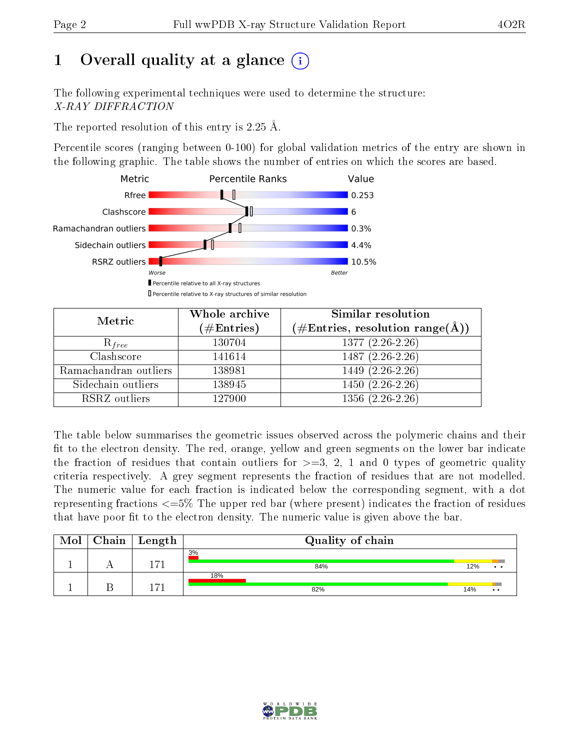# 1 [O](https://www.wwpdb.org/validation/2017/XrayValidationReportHelp#overall_quality)verall quality at a glance  $(i)$

The following experimental techniques were used to determine the structure: X-RAY DIFFRACTION

The reported resolution of this entry is 2.25 Å.

Percentile scores (ranging between 0-100) for global validation metrics of the entry are shown in the following graphic. The table shows the number of entries on which the scores are based.



| Metric                | Whole archive<br>$(\#\text{Entries})$ | Similar resolution<br>$(\#\text{Entries},\,\text{resolution}\,\,\text{range}(\textup{\AA}))$ |  |  |
|-----------------------|---------------------------------------|----------------------------------------------------------------------------------------------|--|--|
| $R_{free}$            | 130704                                | $1377(2.26-2.26)$                                                                            |  |  |
| Clashscore            | 141614                                | $1487(2.26-2.26)$                                                                            |  |  |
| Ramachandran outliers | 138981                                | 1449 (2.26-2.26)                                                                             |  |  |
| Sidechain outliers    | 138945                                | $1450(2.26-2.26)$                                                                            |  |  |
| RSRZ outliers         | 127900                                | $1356(2.26-2.26)$                                                                            |  |  |

The table below summarises the geometric issues observed across the polymeric chains and their fit to the electron density. The red, orange, yellow and green segments on the lower bar indicate the fraction of residues that contain outliers for  $>=3, 2, 1$  and 0 types of geometric quality criteria respectively. A grey segment represents the fraction of residues that are not modelled. The numeric value for each fraction is indicated below the corresponding segment, with a dot representing fractions  $\epsilon=5\%$  The upper red bar (where present) indicates the fraction of residues that have poor fit to the electron density. The numeric value is given above the bar.

| Mol | $Chain \  Length$ | Quality of chain |     |                 |
|-----|-------------------|------------------|-----|-----------------|
|     | 171               | 3%<br>84%        | 12% | . .             |
|     | 1171              | 18%<br>82%       | 14% | $\cdot$ $\cdot$ |

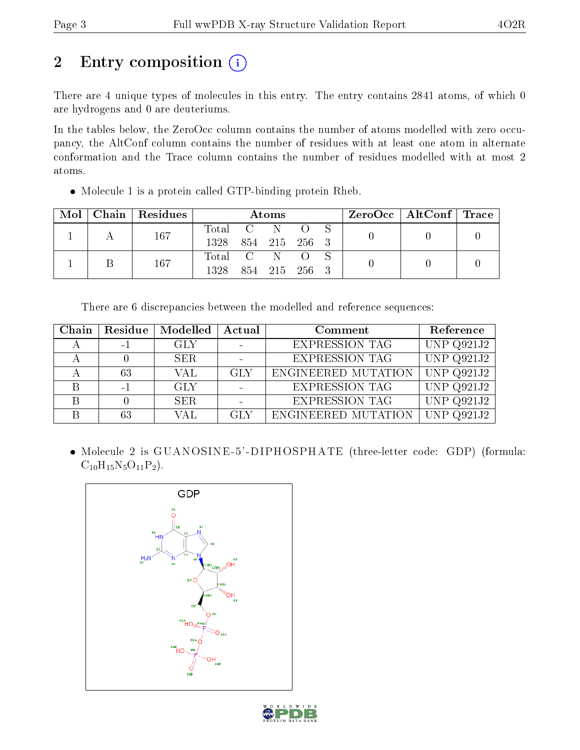# 2 Entry composition (i)

There are 4 unique types of molecules in this entry. The entry contains 2841 atoms, of which 0 are hydrogens and 0 are deuteriums.

In the tables below, the ZeroOcc column contains the number of atoms modelled with zero occupancy, the AltConf column contains the number of residues with at least one atom in alternate conformation and the Trace column contains the number of residues modelled with at most 2 atoms.

Molecule 1 is a protein called GTP-binding protein Rheb.

| Mol | Chain   Residues | Atoms     |                  |               |  |  | ZeroOcc   AltConf   Trace |  |
|-----|------------------|-----------|------------------|---------------|--|--|---------------------------|--|
|     | 167              | Total     | $\overline{C}$ N |               |  |  |                           |  |
|     |                  | 1328      | 854 215 256 3    |               |  |  |                           |  |
|     | 167              | Total C N |                  |               |  |  |                           |  |
|     |                  | 1328      |                  | 854 215 256 3 |  |  |                           |  |

There are 6 discrepancies between the modelled and reference sequences:

| Chain | Residue | Modelled | Actual<br>Comment |                       | Reference         |
|-------|---------|----------|-------------------|-----------------------|-------------------|
|       | $-1$    | GLY      |                   | <b>EXPRESSION TAG</b> | <b>UNP Q921J2</b> |
|       |         | SER.     |                   | <b>EXPRESSION TAG</b> | UNP $Q921J2$      |
|       | 63      | VAL      | GLY               | ENGINEERED MUTATION   | <b>UNP Q921J2</b> |
|       | - 1     | GLY      |                   | <b>EXPRESSION TAG</b> | UNP $Q921J2$      |
|       |         | SER.     |                   | <b>EXPRESSION TAG</b> | UNP Q921J2        |
|       | 63      | VAL      | GLY               | ENGINEERED MUTATION   | UNP Q921J2        |

 Molecule 2 is GUANOSINE -5' -DIPHOSPHATE (three-letter code: GDP) (formula:  $C_{10}H_{15}N_5O_{11}P_2$ .



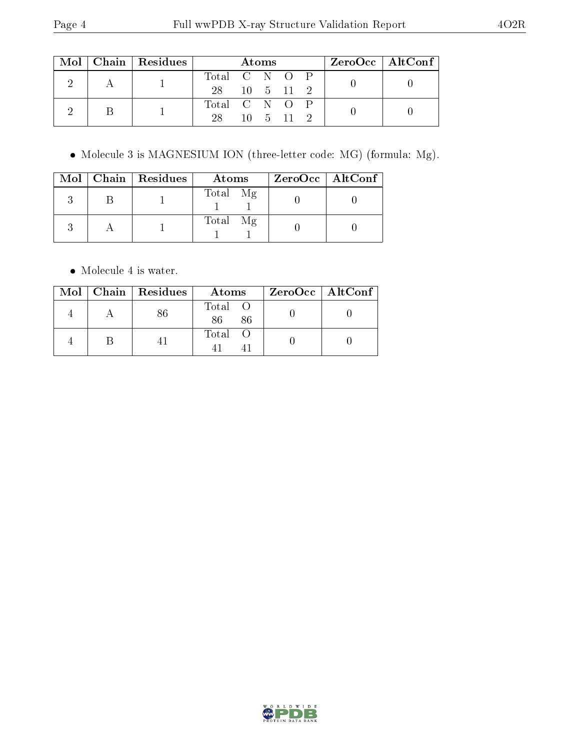|  |  | $Mol$   Chain   Residues | Atoms         |  |  |                               |  | ZeroOcc   AltConf |  |
|--|--|--------------------------|---------------|--|--|-------------------------------|--|-------------------|--|
|  |  |                          | Total C N O P |  |  |                               |  |                   |  |
|  |  | 28 10 5 11 2             |               |  |  |                               |  |                   |  |
|  |  |                          | Total C N O P |  |  |                               |  |                   |  |
|  |  |                          | 28            |  |  | $10 \quad 5 \quad 11 \quad 2$ |  |                   |  |

Molecule 3 is MAGNESIUM ION (three-letter code: MG) (formula: Mg).

|  | Mol   Chain   Residues | Atoms    | $ZeroOcc$   AltConf |
|--|------------------------|----------|---------------------|
|  |                        | Total Mg |                     |
|  |                        | Total Mg |                     |

• Molecule 4 is water.

|  | $Mol$   Chain   Residues | Atoms               | $ZeroOcc \   \$ AltConf |
|--|--------------------------|---------------------|-------------------------|
|  |                          | Total O<br>86<br>86 |                         |
|  |                          | Total O             |                         |

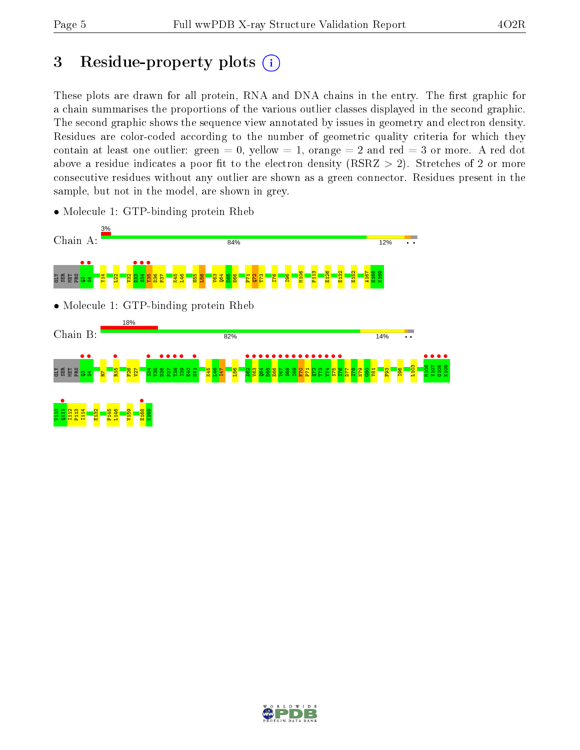# 3 Residue-property plots  $(i)$

These plots are drawn for all protein, RNA and DNA chains in the entry. The first graphic for a chain summarises the proportions of the various outlier classes displayed in the second graphic. The second graphic shows the sequence view annotated by issues in geometry and electron density. Residues are color-coded according to the number of geometric quality criteria for which they contain at least one outlier: green  $= 0$ , yellow  $= 1$ , orange  $= 2$  and red  $= 3$  or more. A red dot above a residue indicates a poor fit to the electron density (RSRZ  $> 2$ ). Stretches of 2 or more consecutive residues without any outlier are shown as a green connector. Residues present in the sample, but not in the model, are shown in grey.



• Molecule 1: GTP-binding protein Rheb

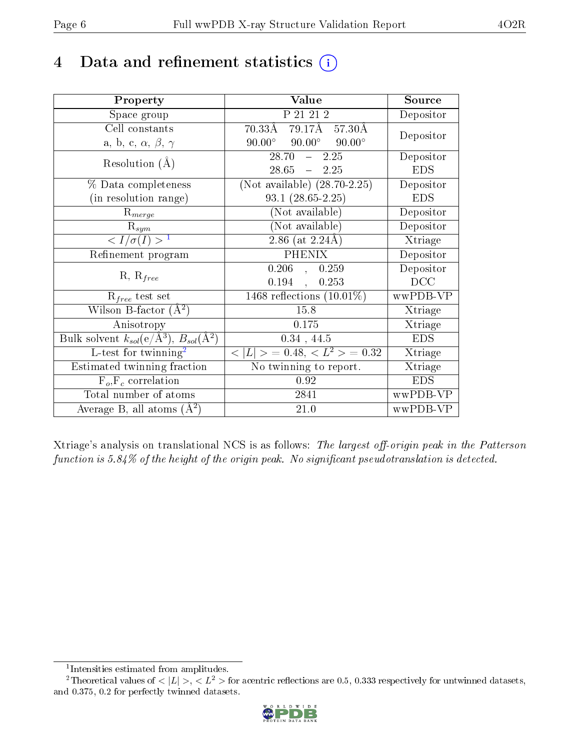## 4 Data and refinement statistics  $(i)$

| Property                                                         | Value                                                                            | Source     |
|------------------------------------------------------------------|----------------------------------------------------------------------------------|------------|
| Space group                                                      | P 21 21 2                                                                        | Depositor  |
| Cell constants                                                   | $70.33\overline{\text{A}}$ $79.17\overline{\text{A}}$ $57.30\overline{\text{A}}$ | Depositor  |
| a, b, c, $\alpha$ , $\beta$ , $\gamma$                           | $90.00^\circ$<br>$90.00^{\circ}$<br>$90.00^\circ$                                |            |
| Resolution $(A)$                                                 | 28.70<br>$-2.25$                                                                 | Depositor  |
|                                                                  | $28.65 = 2.25$                                                                   | <b>EDS</b> |
| % Data completeness                                              | (Not available) $(28.70-2.25)$                                                   | Depositor  |
| (in resolution range)                                            | $93.1 (28.65 - 2.25)$                                                            | <b>EDS</b> |
| $R_{merge}$                                                      | (Not available)                                                                  | Depositor  |
| $\mathrm{R}_{sym}$                                               | (Not available)                                                                  | Depositor  |
| $\langle I/\sigma(I) \rangle^{-1}$                               | $2.86$ (at $2.24$ Å)                                                             | Xtriage    |
| Refinement program                                               | <b>PHENIX</b>                                                                    | Depositor  |
|                                                                  | $0.206$ ,<br>0.259                                                               | Depositor  |
| $R, R_{free}$                                                    | $0.194$ ,<br>0.253                                                               | DCC        |
| $R_{free}$ test set                                              | 1468 reflections $(10.01\%)$                                                     | wwPDB-VP   |
| Wilson B-factor $(A^2)$                                          | 15.8                                                                             | Xtriage    |
| Anisotropy                                                       | 0.175                                                                            | Xtriage    |
| Bulk solvent $k_{sol}(\text{e}/\text{A}^3), B_{sol}(\text{A}^2)$ | $0.34$ , 44.5                                                                    | <b>EDS</b> |
| L-test for $\mathrm{twinning}^2$                                 | $< L >$ = 0.48, $< L2 >$ = 0.32                                                  | Xtriage    |
| Estimated twinning fraction                                      | No twinning to report.                                                           | Xtriage    |
| $F_o, F_c$ correlation                                           | 0.92                                                                             | <b>EDS</b> |
| Total number of atoms                                            | 2841                                                                             | wwPDB-VP   |
| Average B, all atoms $(A^2)$                                     | 21.0                                                                             | wwPDB-VP   |

Xtriage's analysis on translational NCS is as follows: The largest off-origin peak in the Patterson function is  $5.84\%$  of the height of the origin peak. No significant pseudotranslation is detected.

<sup>&</sup>lt;sup>2</sup>Theoretical values of  $\langle |L| \rangle$ ,  $\langle L^2 \rangle$  for acentric reflections are 0.5, 0.333 respectively for untwinned datasets, and 0.375, 0.2 for perfectly twinned datasets.



<span id="page-5-1"></span><span id="page-5-0"></span><sup>1</sup> Intensities estimated from amplitudes.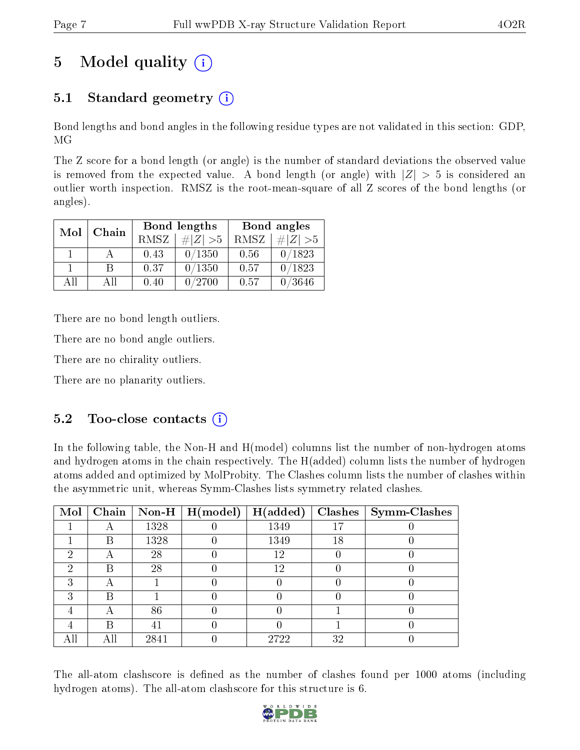# 5 Model quality  $(i)$

### 5.1 Standard geometry  $(i)$

Bond lengths and bond angles in the following residue types are not validated in this section: GDP, MG

The Z score for a bond length (or angle) is the number of standard deviations the observed value is removed from the expected value. A bond length (or angle) with  $|Z| > 5$  is considered an outlier worth inspection. RMSZ is the root-mean-square of all Z scores of the bond lengths (or angles).

| Mol | Chain |             | Bond lengths | Bond angles |             |  |
|-----|-------|-------------|--------------|-------------|-------------|--|
|     |       | <b>RMSZ</b> | $\# Z  > 5$  | RMSZ        | $\ Z\  > 5$ |  |
|     |       | 0.43        | 0/1350       | 0.56        | 0/1823      |  |
|     | R     | 0.37        | 0/1350       | 0.57        | 0/1823      |  |
| All | Αll   | 0.40        | 0/2700       | 0.57        | /3646       |  |

There are no bond length outliers.

There are no bond angle outliers.

There are no chirality outliers.

There are no planarity outliers.

### $5.2$  Too-close contacts  $(i)$

In the following table, the Non-H and H(model) columns list the number of non-hydrogen atoms and hydrogen atoms in the chain respectively. The H(added) column lists the number of hydrogen atoms added and optimized by MolProbity. The Clashes column lists the number of clashes within the asymmetric unit, whereas Symm-Clashes lists symmetry related clashes.

| $\text{Mol}$ |    |      | Chain   Non-H   $H (model)$ | H(added) |    | $Clashes$   Symm-Clashes |
|--------------|----|------|-----------------------------|----------|----|--------------------------|
|              |    | 1328 |                             | 1349     | 17 |                          |
|              | B  | 1328 |                             | 1349     | 18 |                          |
| റ            | Α  | 28   |                             | 12       |    |                          |
| 2            | R  | 28   |                             | 12       |    |                          |
| 3            | А  |      |                             |          |    |                          |
| 3            | В  |      |                             |          |    |                          |
|              |    | 86   |                             |          |    |                          |
|              | R  | 41   |                             |          |    |                          |
|              | AШ | 2841 |                             | 2722     | 32 |                          |

The all-atom clashscore is defined as the number of clashes found per 1000 atoms (including hydrogen atoms). The all-atom clashscore for this structure is 6.

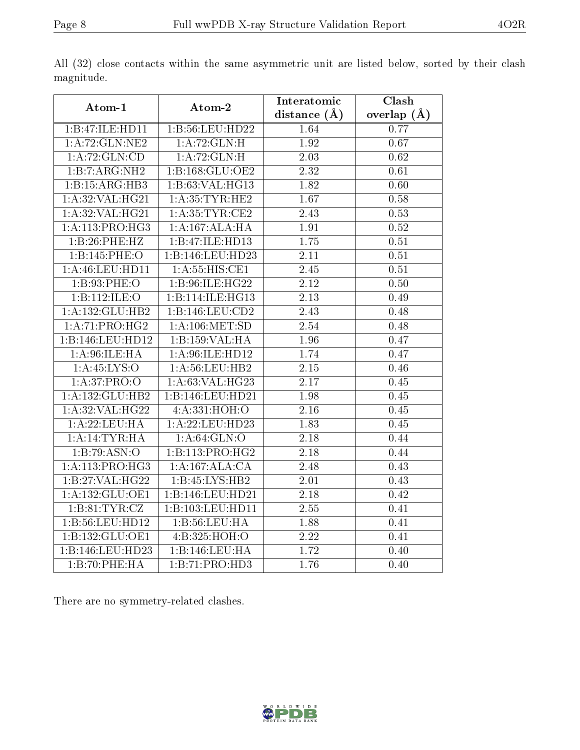| Atom-1             | Atom-2                      | Interatomic       | Clash             |
|--------------------|-----------------------------|-------------------|-------------------|
|                    |                             | distance $(A)$    | overlap $(A)$     |
| 1:B:47:ILE:HD11    | 1:B:56:LEU:HD22             | 1.64              | 0.77              |
| 1: A:72: GLN:NE2   | 1: A:72: GLN:H              | 1.92              | 0.67              |
| 1:A:72:GLN:CD      | 1:A:72:GLN:H                | 2.03              | 0.62              |
| 1:B:7:ARG:NH2      | 1:B:168:GLU:OE2             | $\overline{2.32}$ | 0.61              |
| 1:B:15:ARG:HB3     | 1:B:63:VAL:HG13             | 1.82              | 0.60              |
| 1: A:32: VAL:HG21  | 1: A: 35: TYR: HE2          | 1.67              | 0.58              |
| 1:A:32:VAL:H G21   | 1: A:35:TYR:CE2             | $\overline{2.43}$ | 0.53              |
| 1: A:113: PRO:HG3  | 1:A:167:ALA:HA              | 1.91              | 0.52              |
| 1:B:26:PHE:HZ      | 1:B:47:ILE:HD13             | 1.75              | $\overline{0.51}$ |
| 1:B:145:PHE:O      | 1:B:146:LEU:HD23            | 2.11              | 0.51              |
| $1:$ A:46:LEU:HD11 | 1:A:55:HIS:CE1              | 2.45              | 0.51              |
| 1:B:93:PHE:O       | 1:B:96:ILE:HG22             | 2.12              | 0.50              |
| 1:B:112:ILE:O      | 1:B:114:ILE:HG13            | 2.13              | 0.49              |
| 1:A:132:GLU:HB2    | 1:B:146:LEU:CD2             | $\overline{2.43}$ | 0.48              |
| 1:A:71:PRO:HG2     | 1: A:106: MET:SD            | 2.54              | 0.48              |
| 1:B:146:LEU:HD12   | 1:B:159:VAL:HA              | $\overline{1.96}$ | 0.47              |
| 1: A:96: ILE: HA   | 1: A:96: ILE: HD12          | 1.74              | 0.47              |
| 1: A:45: LYS:O     | 1:A:56:LEU:HB2              | 2.15              | 0.46              |
| 1: A:37: PRO:O     | 1: A:63: VAL:HG23           | 2.17              | 0.45              |
| 1:A:132:GLU:HB2    | 1:B:146:LEU:HD21            | 1.98              | 0.45              |
| 1: A:32: VAL:HG22  | 4:A:331:HOH:O               | $\overline{2.16}$ | 0.45              |
| 1:A:22:LEU:HA      | 1:A:22:LEU:HD23             | 1.83              | 0.45              |
| 1:A:14:TYR:HA      | 1: A:64: GLN:O              | 2.18              | 0.44              |
| 1:B:79:ASN:O       | 1:B:113:PRO:HG2             | 2.18              | 0.44              |
| 1: A:113: PRO:HG3  | 1:A:167:ALA:CA              | 2.48              | 0.43              |
| 1:B:27:VAL:HG22    | 1:B:45:LYS:HB2              | 2.01              | 0.43              |
| 1:A:132:GLU:OE1    | 1:B:146:LEU:HD21            | 2.18              | 0.42              |
| 1:B:81:TYR:CZ      | 1:B:103:LEU:HD11            | 2.55              | 0.41              |
| 1:B:56:LEU:HD12    | 1:B:56:LEU:HA               | 1.88              | 0.41              |
| 1:B:132:GLU:OE1    | 4:B:325:HOH:O               | 2.22              | 0.41              |
| 1:B:146:LEU:HD23   | 1:B:146:LEU:HA              | 1.72              | 0.40              |
| 1:B:70:PHE:HA      | $1:B:71:PRO:\overline{HD3}$ | 1.76              | 0.40              |

All (32) close contacts within the same asymmetric unit are listed below, sorted by their clash magnitude.

There are no symmetry-related clashes.

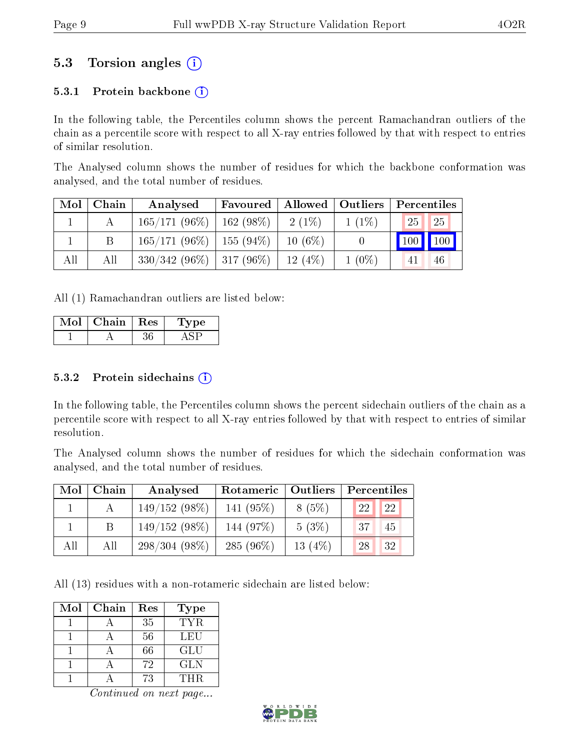### 5.3 Torsion angles (i)

#### 5.3.1 Protein backbone  $(i)$

In the following table, the Percentiles column shows the percent Ramachandran outliers of the chain as a percentile score with respect to all X-ray entries followed by that with respect to entries of similar resolution.

The Analysed column shows the number of residues for which the backbone conformation was analysed, and the total number of residues.

| Mol | Chain | Analysed                      | Favoured | Allowed   | $\vert$ Outliers | Percentiles        |               |
|-----|-------|-------------------------------|----------|-----------|------------------|--------------------|---------------|
|     |       | $165/171(96\%)$   162 (98\%)  |          | 2 (1\%)   | $1(1\%)$         | <b>25</b>          | $\sqrt{25}$   |
|     |       | $165/171(96\%)$   155 (94\%)  |          | $10(6\%)$ |                  | $\blacksquare$ 100 | $\boxed{100}$ |
| All | All   | $330/342$ (96\%)   317 (96\%) |          | 12(4%)    | $1(0\%)$         |                    | 46            |

All (1) Ramachandran outliers are listed below:

| Chain | <b>Res</b> | vpe |
|-------|------------|-----|
|       |            |     |

#### $5.3.2$  Protein sidechains  $(i)$

In the following table, the Percentiles column shows the percent sidechain outliers of the chain as a percentile score with respect to all X-ray entries followed by that with respect to entries of similar resolution.

The Analysed column shows the number of residues for which the sidechain conformation was analysed, and the total number of residues.

| Mol | Chain | Analysed        | Rotameric   Outliers |           | Percentiles     |
|-----|-------|-----------------|----------------------|-----------|-----------------|
|     |       | $149/152(98\%)$ | 141 $(95\%)$         | 8(5%)     | 22<br><b>22</b> |
|     |       | $149/152(98\%)$ | 144 (97%)            | $5(3\%)$  | 37<br>45        |
| All | All   | $298/304(98\%)$ | 285 $(96\%)$         | 13 $(4%)$ | 28<br>32        |

All (13) residues with a non-rotameric sidechain are listed below:

| Mol | Chain | Res | Type |
|-----|-------|-----|------|
|     |       | 35  | TYR. |
|     |       | 56  | LEU  |
|     |       | 66  | GLU  |
|     |       | 72  | GLN  |
|     |       | 73  | THR. |

Continued on next page...

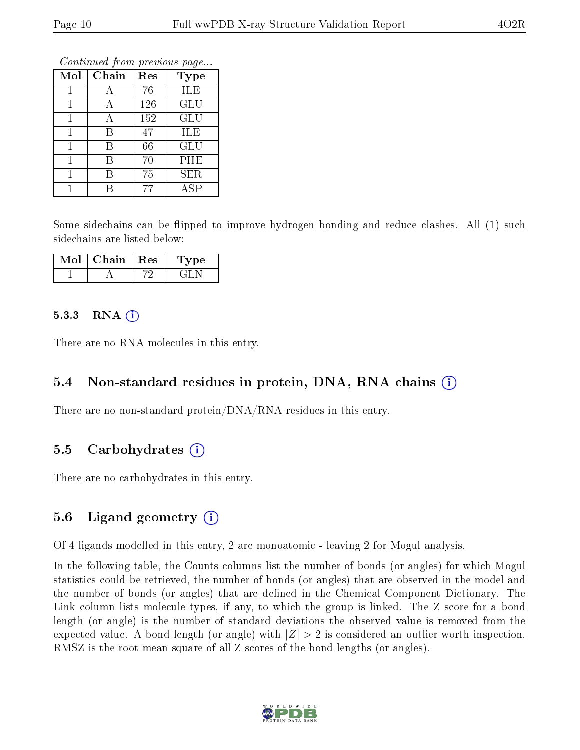Continued from previous page...

| Mol | Chain | Res | <b>Type</b> |
|-----|-------|-----|-------------|
|     | А     | 76  | ILE         |
|     | А     | 126 | <b>GLU</b>  |
|     | А     | 152 | GLU         |
|     | В     | 47  | ILE         |
|     | В     | 66  | <b>GLU</b>  |
|     | В     | 70  | PHE         |
|     | R     | 75  | <b>SER</b>  |
|     |       | 77  | ASP         |

Some sidechains can be flipped to improve hydrogen bonding and reduce clashes. All (1) such sidechains are listed below:

| Chain | Res | vpe |
|-------|-----|-----|
|       |     |     |

#### $5.3.3$  RNA  $(i)$

There are no RNA molecules in this entry.

#### 5.4 Non-standard residues in protein, DNA, RNA chains  $(i)$

There are no non-standard protein/DNA/RNA residues in this entry.

#### 5.5 Carbohydrates  $(i)$

There are no carbohydrates in this entry.

#### 5.6 Ligand geometry  $(i)$

Of 4 ligands modelled in this entry, 2 are monoatomic - leaving 2 for Mogul analysis.

In the following table, the Counts columns list the number of bonds (or angles) for which Mogul statistics could be retrieved, the number of bonds (or angles) that are observed in the model and the number of bonds (or angles) that are defined in the Chemical Component Dictionary. The Link column lists molecule types, if any, to which the group is linked. The Z score for a bond length (or angle) is the number of standard deviations the observed value is removed from the expected value. A bond length (or angle) with  $|Z| > 2$  is considered an outlier worth inspection. RMSZ is the root-mean-square of all Z scores of the bond lengths (or angles).

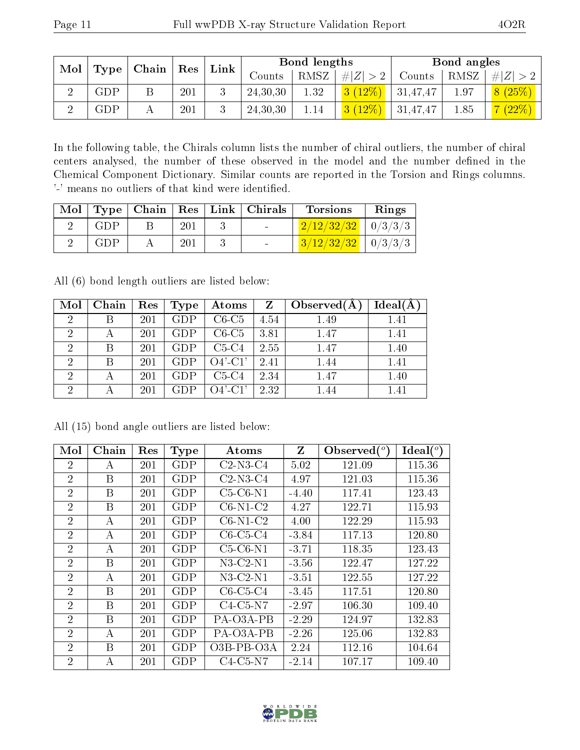| Mol   Type $ $ | $\mid$ Chain $\mid$ | $\mid$ Res | Link |            | Bond lengths |             |          | Bond angles |         |
|----------------|---------------------|------------|------|------------|--------------|-------------|----------|-------------|---------|
|                |                     |            |      | Counts     | RMSZ         | # $ Z  > 2$ | Counts   | RMSZ        | # Z     |
| GDP            |                     | 201        |      | 24, 30, 30 | 1.32         | $3(12\%)$   | 31,47,47 | 1.97        | 8(25%)  |
| ${\rm GDP}$    |                     | 201        |      | 24, 30, 30 | 1.14         | 3(12%)      | 31,47,47 | 1.85        | 7 (22%) |

In the following table, the Chirals column lists the number of chiral outliers, the number of chiral centers analysed, the number of these observed in the model and the number defined in the Chemical Component Dictionary. Similar counts are reported in the Torsion and Rings columns. '-' means no outliers of that kind were identified.

|     |     | Mol   Type   Chain   Res   Link   Chirals | <b>Torsions</b>                        | Rings |
|-----|-----|-------------------------------------------|----------------------------------------|-------|
| GDP | 201 |                                           | $\frac{2}{12}\frac{232}{32}$   0/3/3/3 |       |
| GDP | 201 |                                           | $3/12/32/32$   $0/3/3/3$               |       |

All (6) bond length outliers are listed below:

| Mol                         | Chain | Res | Type       | Atoms      | Z    | Observed $(A)$ | Ideal(A) |
|-----------------------------|-------|-----|------------|------------|------|----------------|----------|
| $\mathcal{D}_{\mathcal{A}}$ |       | 201 | GDP        | $C6-C5$    | 4.54 | 1.49           | 1.41     |
| 2                           |       | 201 | GDP        | $C6-C5$    | 3.81 | 1.47           | 1.41     |
| 2                           |       | 201 | <b>GDP</b> | $C5-C4$    | 2.55 | 1.47           | 1.40     |
| 2                           | R     | 201 | GDP        | $O4'$ -C1' | 2.41 | 1.44           | 1.41     |
| 2                           |       | 201 | GDP        | $C5-C4$    | 2.34 | 1.47           | 1.40     |
| 2                           |       | 201 | GDP        | $O4'$ -C1' | 2.32 | 1.44           | 1.41     |

| Mol            | Chain | Res | <b>Type</b> | Atoms        | Z       | Observed $\binom{o}{c}$ | Ideal $(^\circ)$ |
|----------------|-------|-----|-------------|--------------|---------|-------------------------|------------------|
| $\overline{2}$ | А     | 201 | <b>GDP</b>  | $C2-N3-C4$   | 5.02    | 121.09                  | 115.36           |
| $\overline{2}$ | В     | 201 | GDP         | $C2-N3-C4$   | 4.97    | 121.03                  | 115.36           |
| $\overline{2}$ | B     | 201 | <b>GDP</b>  | $C5-C6-N1$   | $-4.40$ | 117.41                  | 123.43           |
| $\overline{2}$ | Β     | 201 | <b>GDP</b>  | $C6-N1-C2$   | 4.27    | 122.71                  | 115.93           |
| $\overline{2}$ | А     | 201 | GDP         | $C6-N1-C2$   | 4.00    | 122.29                  | 115.93           |
| $\overline{2}$ | А     | 201 | <b>GDP</b>  | $C6-C5-C4$   | $-3.84$ | 117.13                  | 120.80           |
| $\overline{2}$ | А     | 201 | GDP         | $C5-C6-N1$   | $-3.71$ | 118.35                  | 123.43           |
| $\overline{2}$ | B     | 201 | <b>GDP</b>  | $N3-C2-N1$   | $-3.56$ | 122.47                  | 127.22           |
| $\overline{2}$ | А     | 201 | <b>GDP</b>  | $N3-C2-N1$   | $-3.51$ | 122.55                  | 127.22           |
| $\overline{2}$ | B     | 201 | <b>GDP</b>  | $C6-C5-C4$   | $-3.45$ | 117.51                  | 120.80           |
| $\overline{2}$ | B     | 201 | <b>GDP</b>  | $C4-C5-N7$   | $-2.97$ | 106.30                  | 109.40           |
| 2              | B     | 201 | GDP         | PA-03A-PB    | $-2.29$ | 124.97                  | 132.83           |
| $\overline{2}$ | А     | 201 | GDP         | PA-O3A-PB    | $-2.26$ | 125.06                  | 132.83           |
| $\overline{2}$ | B     | 201 | GDP         | $O3B-PB-O3A$ | 2.24    | 112.16                  | 104.64           |
| $\overline{2}$ | А     | 201 | GDP         | $C4-C5-N7$   | $-2.14$ | 107.17                  | 109.40           |

All (15) bond angle outliers are listed below:

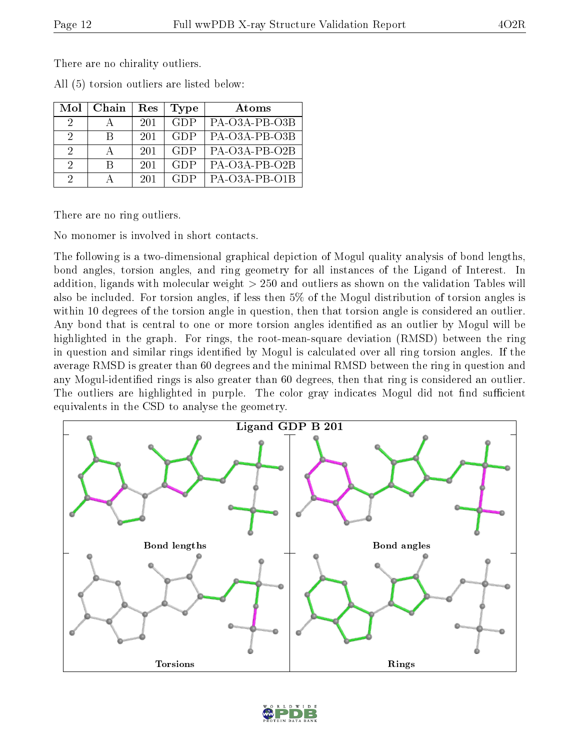There are no chirality outliers.

All (5) torsion outliers are listed below:

| Mol      | Chain | Res | Type       | Atoms           |
|----------|-------|-----|------------|-----------------|
| 2        |       | 201 | <b>GDP</b> | PA-O3A-PB-O3B   |
| $\Omega$ | К     | 201 | <b>GDP</b> | PA-O3A-PB-O3B   |
| $\Omega$ |       | 201 | <b>GDP</b> | PA-O3A-PB-O2B   |
| $\Omega$ | R     | 201 | <b>GDP</b> | PA-O3A-PB-O2B   |
| 9        |       | 201 | GDP        | $PA-O3A-PB-O1B$ |

There are no ring outliers.

No monomer is involved in short contacts.

The following is a two-dimensional graphical depiction of Mogul quality analysis of bond lengths, bond angles, torsion angles, and ring geometry for all instances of the Ligand of Interest. In addition, ligands with molecular weight > 250 and outliers as shown on the validation Tables will also be included. For torsion angles, if less then 5% of the Mogul distribution of torsion angles is within 10 degrees of the torsion angle in question, then that torsion angle is considered an outlier. Any bond that is central to one or more torsion angles identified as an outlier by Mogul will be highlighted in the graph. For rings, the root-mean-square deviation (RMSD) between the ring in question and similar rings identified by Mogul is calculated over all ring torsion angles. If the average RMSD is greater than 60 degrees and the minimal RMSD between the ring in question and any Mogul-identied rings is also greater than 60 degrees, then that ring is considered an outlier. The outliers are highlighted in purple. The color gray indicates Mogul did not find sufficient equivalents in the CSD to analyse the geometry.



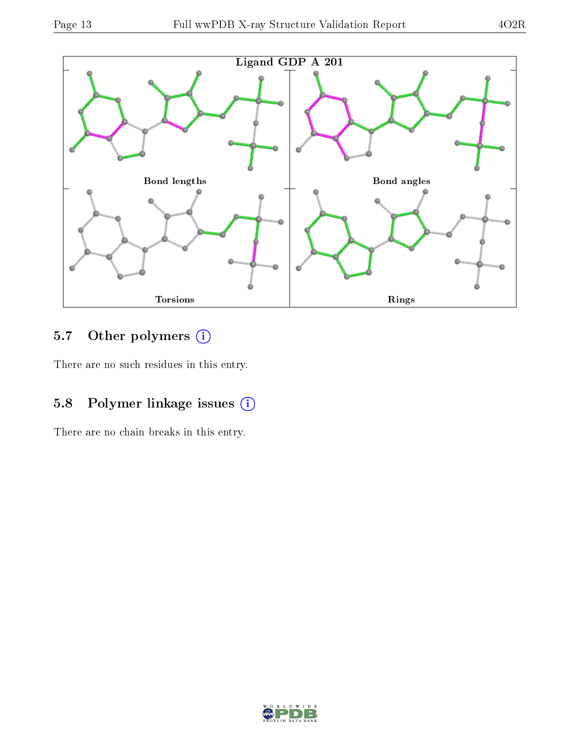

## 5.7 [O](https://www.wwpdb.org/validation/2017/XrayValidationReportHelp#nonstandard_residues_and_ligands)ther polymers (i)

There are no such residues in this entry.

### 5.8 Polymer linkage issues (i)

There are no chain breaks in this entry.

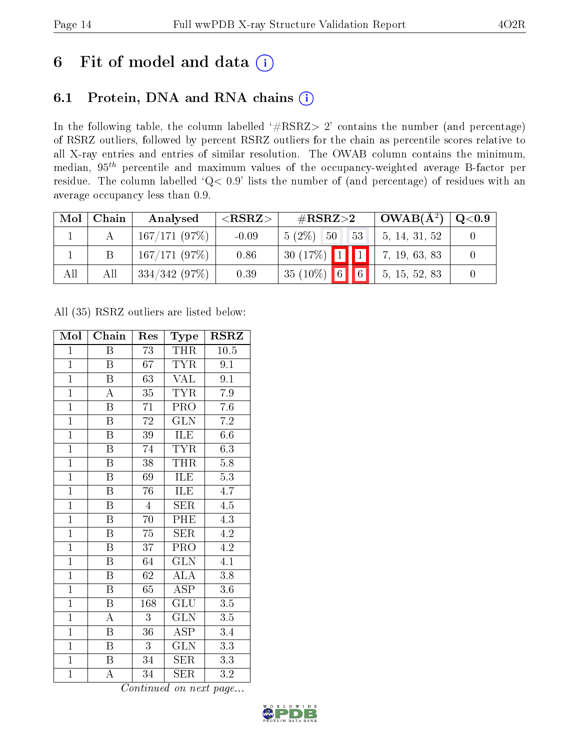# 6 Fit of model and data  $(i)$

### 6.1 Protein, DNA and RNA chains  $(i)$

In the following table, the column labelled  $#RSRZ> 2'$  contains the number (and percentage) of RSRZ outliers, followed by percent RSRZ outliers for the chain as percentile scores relative to all X-ray entries and entries of similar resolution. The OWAB column contains the minimum, median,  $95<sup>th</sup>$  percentile and maximum values of the occupancy-weighted average B-factor per residue. The column labelled ' $Q< 0.9$ ' lists the number of (and percentage) of residues with an average occupancy less than 0.9.

| Mol | Chain | Analysed     | ${ <\hspace{-1.5pt}{\mathrm{RSRZ}} \hspace{-1.5pt}>}$ | $\#\text{RSRZ}\text{>2}$ | $^{\circ}$ OWAB( $\rm \AA^2)$ ) | Q <sub>0.9</sub> |
|-----|-------|--------------|-------------------------------------------------------|--------------------------|---------------------------------|------------------|
|     |       | 167/171(97%) | $-0.09$                                               | $5(2\%)$ 50<br>$53-$     | 5, 14, 31, 52                   |                  |
|     |       | 167/171(97%) | 0.86                                                  | $30(17\%)$ 1 1           | 7, 19, 63, 83                   |                  |
| All | All   | 334/342(97%) | 0.39                                                  | $35(10\%)$ 6 6           | 5, 15, 52, 83                   |                  |

All (35) RSRZ outliers are listed below:

| Mol            | Chain                   | Res             | Type                      | $\rm RSRZ$       |
|----------------|-------------------------|-----------------|---------------------------|------------------|
| $\mathbf{1}$   | Β                       | 73              | THR                       | $10.5\,$         |
| $\overline{1}$ | B                       | 67              | <b>TYR</b>                | 9.1              |
| $\overline{1}$ | $\overline{\mathrm{B}}$ | $\overline{63}$ | $\overline{\text{VAL}}$   | $\overline{9.1}$ |
| $\overline{1}$ | $\overline{\rm A}$      | 35              | <b>TYR</b>                | 7.9              |
| $\overline{1}$ | $\overline{\mathrm{B}}$ | $\overline{71}$ | PRO                       | $\overline{7.6}$ |
| $\overline{1}$ | Β                       | 72              | GLN                       | $7.2\,$          |
| $\overline{1}$ | B                       | $\overline{39}$ | ILE                       | 6.6              |
| $\overline{1}$ | $\overline{\mathbf{B}}$ | 74              | <b>TYR</b>                | 6.3              |
| $\overline{1}$ | $\overline{B}$          | 38              | <b>THR</b>                | 5.8              |
| $\overline{1}$ | $\overline{\mathrm{B}}$ | 69              | ILE                       | $\overline{5.3}$ |
| $\overline{1}$ | $\overline{\mathrm{B}}$ | 76              | ILE                       | 4.7              |
| $\overline{1}$ | $\overline{\mathrm{B}}$ | $\overline{4}$  | $\overline{\text{SER}}$   | $\overline{4.5}$ |
| $\overline{1}$ | $\overline{B}$          | 70              | PHE                       | $\overline{4.3}$ |
| $\overline{1}$ | $\overline{\mathrm{B}}$ | $\overline{75}$ | <b>SER</b>                | 4.2              |
| $\overline{1}$ | $\overline{\mathrm{B}}$ | $\overline{37}$ | $\overline{\text{PRO}}$   | $\overline{4.2}$ |
| $\mathbf{1}$   | $\, {\bf B}$            | 64              | $\overline{\text{GLN}}$   | $\overline{4.1}$ |
| $\overline{1}$ | $\overline{\mathrm{B}}$ | $\overline{62}$ | $\overline{\rm ALA}$      | $\overline{3.8}$ |
| $\overline{1}$ | B                       | 65              | <b>ASP</b>                | $3.6\,$          |
| $\overline{1}$ | $\overline{\mathrm{B}}$ | 168             | $\overline{\mathrm{GLU}}$ | $\overline{3.5}$ |
| $\overline{1}$ | $\overline{\rm A}$      | $\overline{3}$  | $\overline{\text{GLN}}$   | 3.5              |
| $\overline{1}$ | $\boldsymbol{B}$        | $\bar{3}6$      | <b>ASP</b>                | $\overline{3}.4$ |
| $\overline{1}$ | Β                       | $\overline{3}$  | $\overline{\text{GLN}}$   | $\overline{3.3}$ |
| $\mathbf{1}$   | B                       | 34              | <b>SER</b>                | 3.3              |
| $\mathbf{1}$   | А                       | 34              | <b>SER</b>                | $3.\overline{2}$ |

Continued on next page...

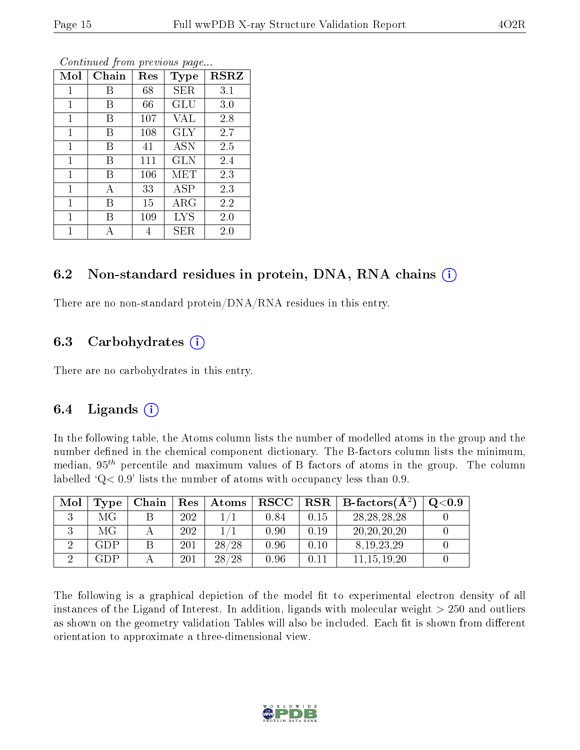| Mol          | Chain | Res | Type        | $_{\rm RSRZ}$ |
|--------------|-------|-----|-------------|---------------|
| 1            | В     | 68  | SER         | 3.1           |
| 1            | В     | 66  | GLU         | 3.0           |
| 1            | В     | 107 | VAL         | 2.8           |
| 1            | В     | 108 | <b>GLY</b>  | 2.7           |
| 1            | В     | 41  | ASN         | 2.5           |
| $\mathbf 1$  | В     | 111 | GLN         | 2.4           |
| 1            | В     | 106 | <b>MET</b>  | 2.3           |
| 1            | А     | 33  | ASP         | 2.3           |
| $\mathbf{1}$ | В     | 15  | ARG         | 2.2           |
| $\mathbf 1$  | В     | 109 | <b>LYS</b>  | 2.0           |
| 1            | А     | 4   | ${\rm SER}$ | 2.0           |

Continued from previous page...

#### 6.2 Non-standard residues in protein, DNA, RNA chains (i)

There are no non-standard protein/DNA/RNA residues in this entry.

### 6.3 Carbohydrates (i)

There are no carbohydrates in this entry.

### 6.4 Ligands  $(i)$

In the following table, the Atoms column lists the number of modelled atoms in the group and the number defined in the chemical component dictionary. The B-factors column lists the minimum, median,  $95<sup>th</sup>$  percentile and maximum values of B factors of atoms in the group. The column labelled  $Q < 0.9$ ' lists the number of atoms with occupancy less than 0.9.

| Mol | Type | Chain | Res | Atoms | $\bf RSCC$ | $\mid$ RSR $\mid$ | B-factors $(A^2)$ | $\mathrm{O}{<}0.9$ |
|-----|------|-------|-----|-------|------------|-------------------|-------------------|--------------------|
|     | МG   |       | 202 |       | 0.84       | 0.15              | 28, 28, 28, 28    |                    |
|     | МG   |       | 202 |       | 0.90       | 0.19              | 20, 20, 20, 20    |                    |
|     | GDP  |       | 201 | 28/28 | 0.96       | 0.10              | 8, 19, 23, 29     |                    |
|     | GDP  |       | 201 | 28/28 | 0.96       | 0.11              | 11, 15, 19, 20    |                    |

The following is a graphical depiction of the model fit to experimental electron density of all instances of the Ligand of Interest. In addition, ligands with molecular weight  $> 250$  and outliers as shown on the geometry validation Tables will also be included. Each fit is shown from different orientation to approximate a three-dimensional view.

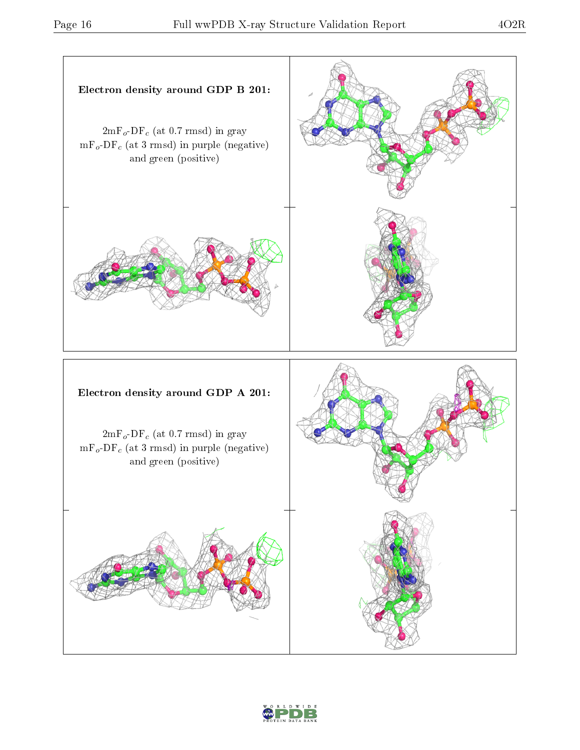